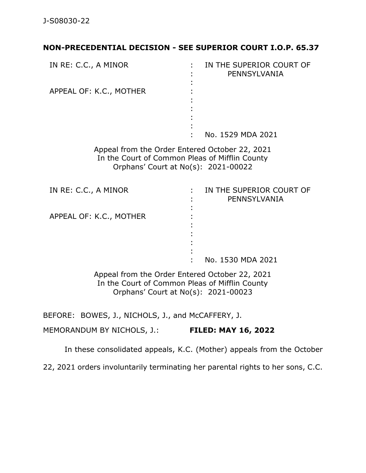## **NON-PRECEDENTIAL DECISION - SEE SUPERIOR COURT I.O.P. 65.37**

| IN RE: C.C., A MINOR    | IN THE SUPERIOR COURT OF<br>PENNSYLVANIA |
|-------------------------|------------------------------------------|
| APPEAL OF: K.C., MOTHER |                                          |
|                         | No. 1529 MDA 2021                        |

Appeal from the Order Entered October 22, 2021 In the Court of Common Pleas of Mifflin County Orphans' Court at No(s): 2021-00022

| IN RE: C.C., A MINOR    | IN THE SUPERIOR COURT OF<br>PENNSYLVANIA |
|-------------------------|------------------------------------------|
| APPEAL OF: K.C., MOTHER |                                          |
|                         | No. 1530 MDA 2021                        |

Appeal from the Order Entered October 22, 2021 In the Court of Common Pleas of Mifflin County Orphans' Court at No(s): 2021-00023

BEFORE: BOWES, J., NICHOLS, J., and McCAFFERY, J.

MEMORANDUM BY NICHOLS, J.: **FILED: MAY 16, 2022**

In these consolidated appeals, K.C. (Mother) appeals from the October

22, 2021 orders involuntarily terminating her parental rights to her sons, C.C.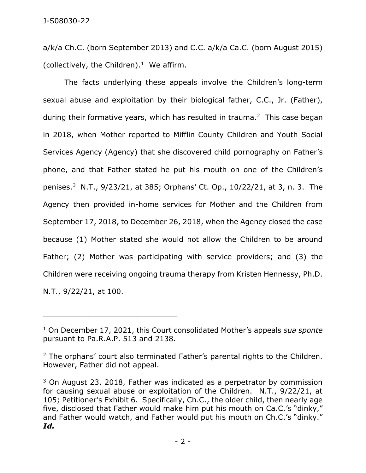a/k/a Ch.C. (born September 2013) and C.C. a/k/a Ca.C. (born August 2015) (collectively, the Children). <sup>1</sup> We affirm.

The facts underlying these appeals involve the Children's long-term sexual abuse and exploitation by their biological father, C.C., Jr. (Father), during their formative years, which has resulted in trauma. 2 This case began in 2018, when Mother reported to Mifflin County Children and Youth Social Services Agency (Agency) that she discovered child pornography on Father's phone, and that Father stated he put his mouth on one of the Children's penises.<sup>3</sup> N.T., 9/23/21, at 385; Orphans' Ct. Op., 10/22/21, at 3, n. 3. The Agency then provided in-home services for Mother and the Children from September 17, 2018, to December 26, 2018, when the Agency closed the case because (1) Mother stated she would not allow the Children to be around Father; (2) Mother was participating with service providers; and (3) the Children were receiving ongoing trauma therapy from Kristen Hennessy, Ph.D. N.T., 9/22/21, at 100.

\_\_\_\_\_\_\_\_\_\_\_\_\_\_\_\_\_\_\_\_\_\_\_\_\_\_\_\_\_\_\_\_\_\_\_\_\_\_\_\_\_\_\_\_

<sup>1</sup> On December 17, 2021, this Court consolidated Mother's appeals *sua sponte* pursuant to Pa.R.A.P. 513 and 2138.

 $2$  The orphans' court also terminated Father's parental rights to the Children. However, Father did not appeal.

<sup>&</sup>lt;sup>3</sup> On August 23, 2018, Father was indicated as a perpetrator by commission for causing sexual abuse or exploitation of the Children. N.T., 9/22/21, at 105; Petitioner's Exhibit 6. Specifically, Ch.C., the older child, then nearly age five, disclosed that Father would make him put his mouth on Ca.C.'s "dinky," and Father would watch, and Father would put his mouth on Ch.C.'s "dinky." *Id.*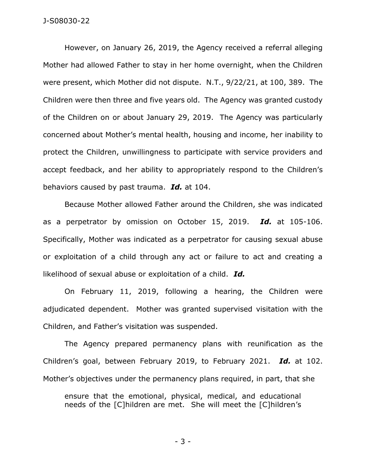## J-S08030-22

However, on January 26, 2019, the Agency received a referral alleging Mother had allowed Father to stay in her home overnight, when the Children were present, which Mother did not dispute. N.T., 9/22/21, at 100, 389. The Children were then three and five years old. The Agency was granted custody of the Children on or about January 29, 2019. The Agency was particularly concerned about Mother's mental health, housing and income, her inability to protect the Children, unwillingness to participate with service providers and accept feedback, and her ability to appropriately respond to the Children's behaviors caused by past trauma. *Id.* at 104.

Because Mother allowed Father around the Children, she was indicated as a perpetrator by omission on October 15, 2019. *Id.* at 105-106. Specifically, Mother was indicated as a perpetrator for causing sexual abuse or exploitation of a child through any act or failure to act and creating a likelihood of sexual abuse or exploitation of a child. *Id.*

On February 11, 2019, following a hearing, the Children were adjudicated dependent. Mother was granted supervised visitation with the Children, and Father's visitation was suspended.

The Agency prepared permanency plans with reunification as the Children's goal, between February 2019, to February 2021. *Id.* at 102. Mother's objectives under the permanency plans required, in part, that she

ensure that the emotional, physical, medical, and educational needs of the [C]hildren are met. She will meet the [C]hildren's

- 3 -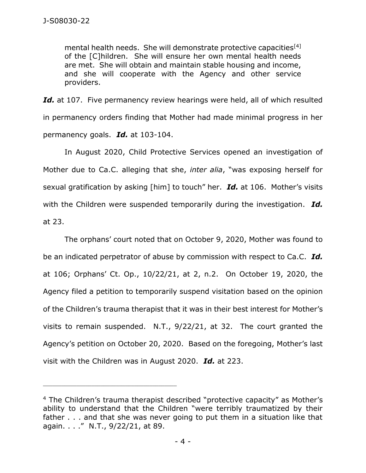mental health needs. She will demonstrate protective capacities<sup>[4]</sup> of the [C]hildren. She will ensure her own mental health needs are met. She will obtain and maintain stable housing and income, and she will cooperate with the Agency and other service providers.

Id. at 107. Five permanency review hearings were held, all of which resulted in permanency orders finding that Mother had made minimal progress in her permanency goals. *Id.* at 103-104.

In August 2020, Child Protective Services opened an investigation of Mother due to Ca.C. alleging that she, *inter alia*, "was exposing herself for sexual gratification by asking [him] to touch" her. *Id.* at 106. Mother's visits with the Children were suspended temporarily during the investigation. *Id.* at 23.

The orphans' court noted that on October 9, 2020, Mother was found to be an indicated perpetrator of abuse by commission with respect to Ca.C. *Id.* at 106; Orphans' Ct. Op., 10/22/21, at 2, n.2. On October 19, 2020, the Agency filed a petition to temporarily suspend visitation based on the opinion of the Children's trauma therapist that it was in their best interest for Mother's visits to remain suspended. N.T., 9/22/21, at 32. The court granted the Agency's petition on October 20, 2020. Based on the foregoing, Mother's last visit with the Children was in August 2020. *Id.* at 223.

\_\_\_\_\_\_\_\_\_\_\_\_\_\_\_\_\_\_\_\_\_\_\_\_\_\_\_\_\_\_\_\_\_\_\_\_\_\_\_\_\_\_\_\_

<sup>4</sup> The Children's trauma therapist described "protective capacity" as Mother's ability to understand that the Children "were terribly traumatized by their father . . . and that she was never going to put them in a situation like that again. . . ." N.T., 9/22/21, at 89.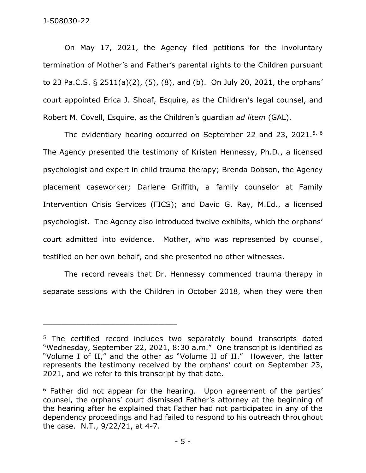## J-S08030-22

On May 17, 2021, the Agency filed petitions for the involuntary termination of Mother's and Father's parental rights to the Children pursuant to 23 Pa.C.S. § 2511(a)(2), (5), (8), and (b). On July 20, 2021, the orphans' court appointed Erica J. Shoaf, Esquire, as the Children's legal counsel, and Robert M. Covell, Esquire, as the Children's guardian *ad litem* (GAL).

The evidentiary hearing occurred on September 22 and 23, 2021.<sup>5, 6</sup> The Agency presented the testimony of Kristen Hennessy, Ph.D., a licensed psychologist and expert in child trauma therapy; Brenda Dobson, the Agency placement caseworker; Darlene Griffith, a family counselor at Family Intervention Crisis Services (FICS); and David G. Ray, M.Ed., a licensed psychologist. The Agency also introduced twelve exhibits, which the orphans' court admitted into evidence. Mother, who was represented by counsel, testified on her own behalf, and she presented no other witnesses.

The record reveals that Dr. Hennessy commenced trauma therapy in separate sessions with the Children in October 2018, when they were then

\_\_\_\_\_\_\_\_\_\_\_\_\_\_\_\_\_\_\_\_\_\_\_\_\_\_\_\_\_\_\_\_\_\_\_\_\_\_\_\_\_\_\_\_

<sup>&</sup>lt;sup>5</sup> The certified record includes two separately bound transcripts dated "Wednesday, September 22, 2021, 8:30 a.m." One transcript is identified as "Volume I of II," and the other as "Volume II of II." However, the latter represents the testimony received by the orphans' court on September 23, 2021, and we refer to this transcript by that date.

<sup>&</sup>lt;sup>6</sup> Father did not appear for the hearing. Upon agreement of the parties' counsel, the orphans' court dismissed Father's attorney at the beginning of the hearing after he explained that Father had not participated in any of the dependency proceedings and had failed to respond to his outreach throughout the case. N.T., 9/22/21, at 4-7.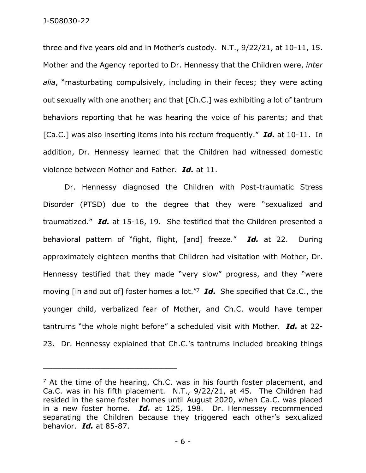three and five years old and in Mother's custody. N.T., 9/22/21, at 10-11, 15. Mother and the Agency reported to Dr. Hennessy that the Children were, *inter alia*, "masturbating compulsively, including in their feces; they were acting out sexually with one another; and that [Ch.C.] was exhibiting a lot of tantrum behaviors reporting that he was hearing the voice of his parents; and that [Ca.C.] was also inserting items into his rectum frequently." *Id.* at 10-11. In addition, Dr. Hennessy learned that the Children had witnessed domestic violence between Mother and Father. *Id.* at 11.

Dr. Hennessy diagnosed the Children with Post-traumatic Stress Disorder (PTSD) due to the degree that they were "sexualized and traumatized." *Id.* at 15-16, 19. She testified that the Children presented a behavioral pattern of "fight, flight, [and] freeze." *Id.* at 22. During approximately eighteen months that Children had visitation with Mother, Dr. Hennessy testified that they made "very slow" progress, and they "were moving [in and out of] foster homes a lot."<sup>7</sup> *Id.* She specified that Ca.C., the younger child, verbalized fear of Mother, and Ch.C. would have temper tantrums "the whole night before" a scheduled visit with Mother. *Id.* at 22- 23. Dr. Hennessy explained that Ch.C.'s tantrums included breaking things

 $<sup>7</sup>$  At the time of the hearing, Ch.C. was in his fourth foster placement, and</sup> Ca.C. was in his fifth placement. N.T., 9/22/21, at 45. The Children had resided in the same foster homes until August 2020, when Ca.C. was placed in a new foster home. *Id.* at 125, 198. Dr. Hennessey recommended separating the Children because they triggered each other's sexualized behavior. *Id.* at 85-87.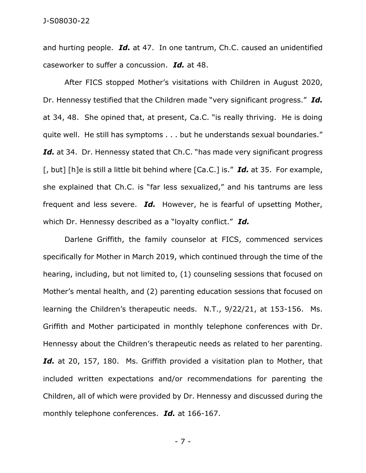and hurting people. *Id.* at 47. In one tantrum, Ch.C. caused an unidentified caseworker to suffer a concussion. *Id.* at 48.

After FICS stopped Mother's visitations with Children in August 2020, Dr. Hennessy testified that the Children made "very significant progress." *Id.* at 34, 48. She opined that, at present, Ca.C. "is really thriving. He is doing quite well. He still has symptoms . . . but he understands sexual boundaries." Id. at 34. Dr. Hennessy stated that Ch.C. "has made very significant progress [, but] [h]e is still a little bit behind where [Ca.C.] is." *Id.* at 35. For example, she explained that Ch.C. is "far less sexualized," and his tantrums are less frequent and less severe. *Id.* However, he is fearful of upsetting Mother, which Dr. Hennessy described as a "loyalty conflict." *Id.*

Darlene Griffith, the family counselor at FICS, commenced services specifically for Mother in March 2019, which continued through the time of the hearing, including, but not limited to, (1) counseling sessions that focused on Mother's mental health, and (2) parenting education sessions that focused on learning the Children's therapeutic needs. N.T., 9/22/21, at 153-156. Ms. Griffith and Mother participated in monthly telephone conferences with Dr. Hennessy about the Children's therapeutic needs as related to her parenting. *Id.* at 20, 157, 180. Ms. Griffith provided a visitation plan to Mother, that included written expectations and/or recommendations for parenting the Children, all of which were provided by Dr. Hennessy and discussed during the monthly telephone conferences. *Id.* at 166-167.

- 7 -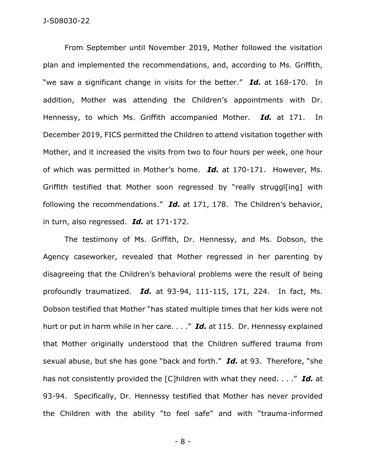From September until November 2019, Mother followed the visitation plan and implemented the recommendations, and, according to Ms. Griffith, "we saw a significant change in visits for the better." *Id.* at 168-170. In addition, Mother was attending the Children's appointments with Dr. Hennessy, to which Ms. Griffith accompanied Mother. *Id.* at 171. In December 2019, FICS permitted the Children to attend visitation together with Mother, and it increased the visits from two to four hours per week, one hour of which was permitted in Mother's home. *Id.* at 170-171. However, Ms. Griffith testified that Mother soon regressed by "really struggl[ing] with following the recommendations." *Id.* at 171, 178. The Children's behavior, in turn, also regressed. *Id.* at 171-172.

The testimony of Ms. Griffith, Dr. Hennessy, and Ms. Dobson, the Agency caseworker, revealed that Mother regressed in her parenting by disagreeing that the Children's behavioral problems were the result of being profoundly traumatized. *Id.* at 93-94, 111-115, 171, 224. In fact, Ms. Dobson testified that Mother "has stated multiple times that her kids were not hurt or put in harm while in her care. . . ." *Id.* at 115. Dr. Hennessy explained that Mother originally understood that the Children suffered trauma from sexual abuse, but she has gone "back and forth." *Id.* at 93. Therefore, "she has not consistently provided the [C]hildren with what they need. . . ." *Id.* at 93-94. Specifically, Dr. Hennessy testified that Mother has never provided the Children with the ability "to feel safe" and with "trauma-informed

- 8 -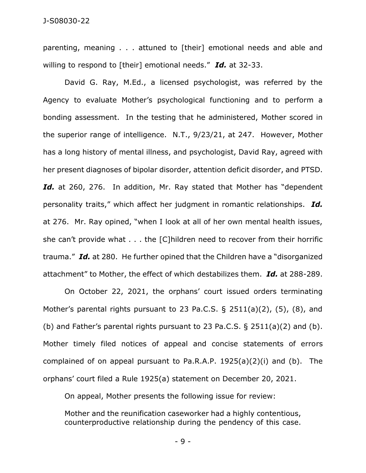parenting, meaning . . . attuned to [their] emotional needs and able and willing to respond to [their] emotional needs." *Id.* at 32-33.

David G. Ray, M.Ed., a licensed psychologist, was referred by the Agency to evaluate Mother's psychological functioning and to perform a bonding assessment. In the testing that he administered, Mother scored in the superior range of intelligence. N.T., 9/23/21, at 247. However, Mother has a long history of mental illness, and psychologist, David Ray, agreed with her present diagnoses of bipolar disorder, attention deficit disorder, and PTSD. Id. at 260, 276. In addition, Mr. Ray stated that Mother has "dependent personality traits," which affect her judgment in romantic relationships. *Id.* at 276. Mr. Ray opined, "when I look at all of her own mental health issues, she can't provide what . . . the [C]hildren need to recover from their horrific trauma." *Id.* at 280. He further opined that the Children have a "disorganized attachment" to Mother, the effect of which destabilizes them. *Id.* at 288-289.

On October 22, 2021, the orphans' court issued orders terminating Mother's parental rights pursuant to 23 Pa.C.S.  $\S$  2511(a)(2), (5), (8), and (b) and Father's parental rights pursuant to 23 Pa.C.S. § 2511(a)(2) and (b). Mother timely filed notices of appeal and concise statements of errors complained of on appeal pursuant to Pa.R.A.P. 1925(a)(2)(i) and (b). The orphans' court filed a Rule 1925(a) statement on December 20, 2021.

On appeal, Mother presents the following issue for review:

Mother and the reunification caseworker had a highly contentious, counterproductive relationship during the pendency of this case.

- 9 -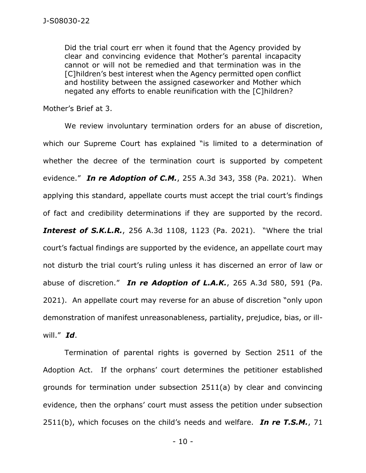Did the trial court err when it found that the Agency provided by clear and convincing evidence that Mother's parental incapacity cannot or will not be remedied and that termination was in the [C]hildren's best interest when the Agency permitted open conflict and hostility between the assigned caseworker and Mother which negated any efforts to enable reunification with the [C]hildren?

Mother's Brief at 3.

We review involuntary termination orders for an abuse of discretion, which our Supreme Court has explained "is limited to a determination of whether the decree of the termination court is supported by competent evidence." *In re Adoption of C.M.*, 255 A.3d 343, 358 (Pa. 2021). When applying this standard, appellate courts must accept the trial court's findings of fact and credibility determinations if they are supported by the record. **Interest of S.K.L.R.**, 256 A.3d 1108, 1123 (Pa. 2021). "Where the trial court's factual findings are supported by the evidence, an appellate court may not disturb the trial court's ruling unless it has discerned an error of law or abuse of discretion." *In re Adoption of L.A.K.*, 265 A.3d 580, 591 (Pa. 2021). An appellate court may reverse for an abuse of discretion "only upon demonstration of manifest unreasonableness, partiality, prejudice, bias, or illwill." *Id*.

Termination of parental rights is governed by Section 2511 of the Adoption Act. If the orphans' court determines the petitioner established grounds for termination under subsection 2511(a) by clear and convincing evidence, then the orphans' court must assess the petition under subsection 2511(b), which focuses on the child's needs and welfare. *In re T.S.M.*, 71

- 10 -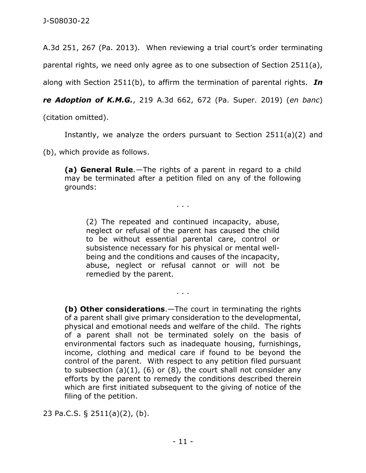A.3d 251, 267 (Pa. 2013). When reviewing a trial court's order terminating

parental rights, we need only agree as to one subsection of Section 2511(a),

along with Section 2511(b), to affirm the termination of parental rights. *In* 

*re Adoption of K.M.G.*, 219 A.3d 662, 672 (Pa. Super. 2019) (*en banc*)

(citation omitted).

Instantly, we analyze the orders pursuant to Section 2511(a)(2) and

(b), which provide as follows.

**(a) General Rule**.—The rights of a parent in regard to a child may be terminated after a petition filed on any of the following grounds:

. . .

(2) The repeated and continued incapacity, abuse, neglect or refusal of the parent has caused the child to be without essential parental care, control or subsistence necessary for his physical or mental wellbeing and the conditions and causes of the incapacity, abuse, neglect or refusal cannot or will not be remedied by the parent.

. . .

**(b) Other considerations**.—The court in terminating the rights of a parent shall give primary consideration to the developmental, physical and emotional needs and welfare of the child. The rights of a parent shall not be terminated solely on the basis of environmental factors such as inadequate housing, furnishings, income, clothing and medical care if found to be beyond the control of the parent. With respect to any petition filed pursuant to subsection  $(a)(1)$ ,  $(b)$  or  $(8)$ , the court shall not consider any efforts by the parent to remedy the conditions described therein which are first initiated subsequent to the giving of notice of the filing of the petition.

23 Pa.C.S. § 2511(a)(2), (b).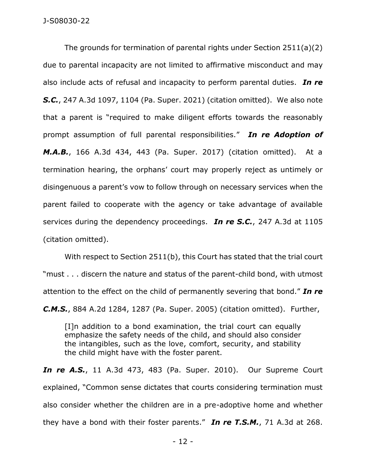The grounds for termination of parental rights under Section 2511(a)(2) due to parental incapacity are not limited to affirmative misconduct and may also include acts of refusal and incapacity to perform parental duties. *In re S.C.*, 247 A.3d 1097, 1104 (Pa. Super. 2021) (citation omitted). We also note that a parent is "required to make diligent efforts towards the reasonably prompt assumption of full parental responsibilities." *In re Adoption of M.A.B.*, 166 A.3d 434, 443 (Pa. Super. 2017) (citation omitted). At a termination hearing, the orphans' court may properly reject as untimely or disingenuous a parent's vow to follow through on necessary services when the parent failed to cooperate with the agency or take advantage of available services during the dependency proceedings. *In re S.C.*, 247 A.3d at 1105 (citation omitted).

With respect to Section 2511(b), this Court has stated that the trial court "must . . . discern the nature and status of the parent-child bond, with utmost attention to the effect on the child of permanently severing that bond." *In re C.M.S.*, 884 A.2d 1284, 1287 (Pa. Super. 2005) (citation omitted). Further,

[I]n addition to a bond examination, the trial court can equally emphasize the safety needs of the child, and should also consider the intangibles, such as the love, comfort, security, and stability the child might have with the foster parent.

*In re A.S.*, 11 A.3d 473, 483 (Pa. Super. 2010). Our Supreme Court explained, "Common sense dictates that courts considering termination must also consider whether the children are in a pre-adoptive home and whether they have a bond with their foster parents." *In re T.S.M.*, 71 A.3d at 268.

- 12 -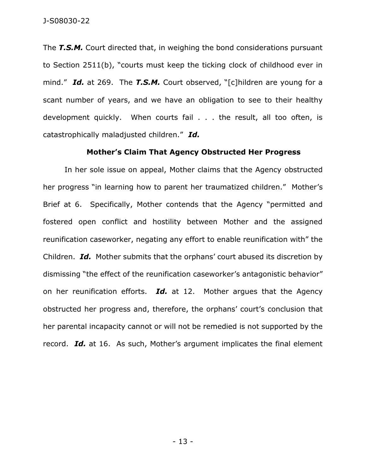The *T.S.M.* Court directed that, in weighing the bond considerations pursuant to Section 2511(b), "courts must keep the ticking clock of childhood ever in mind." *Id.* at 269. The *T.S.M.* Court observed, "[c]hildren are young for a scant number of years, and we have an obligation to see to their healthy development quickly. When courts fail . . . the result, all too often, is catastrophically maladjusted children." *Id.*

## **Mother's Claim That Agency Obstructed Her Progress**

In her sole issue on appeal, Mother claims that the Agency obstructed her progress "in learning how to parent her traumatized children." Mother's Brief at 6. Specifically, Mother contends that the Agency "permitted and fostered open conflict and hostility between Mother and the assigned reunification caseworker, negating any effort to enable reunification with" the Children. *Id.* Mother submits that the orphans' court abused its discretion by dismissing "the effect of the reunification caseworker's antagonistic behavior" on her reunification efforts. *Id.* at 12. Mother argues that the Agency obstructed her progress and, therefore, the orphans' court's conclusion that her parental incapacity cannot or will not be remedied is not supported by the record. *Id.* at 16. As such, Mother's argument implicates the final element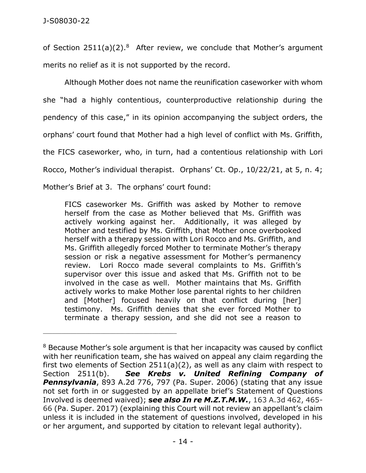of Section  $2511(a)(2).$ <sup>8</sup> After review, we conclude that Mother's argument merits no relief as it is not supported by the record.

Although Mother does not name the reunification caseworker with whom she "had a highly contentious, counterproductive relationship during the pendency of this case," in its opinion accompanying the subject orders, the orphans' court found that Mother had a high level of conflict with Ms. Griffith, the FICS caseworker, who, in turn, had a contentious relationship with Lori Rocco, Mother's individual therapist. Orphans' Ct. Op., 10/22/21, at 5, n. 4; Mother's Brief at 3. The orphans' court found:

FICS caseworker Ms. Griffith was asked by Mother to remove herself from the case as Mother believed that Ms. Griffith was actively working against her. Additionally, it was alleged by Mother and testified by Ms. Griffith, that Mother once overbooked herself with a therapy session with Lori Rocco and Ms. Griffith, and Ms. Griffith allegedly forced Mother to terminate Mother's therapy session or risk a negative assessment for Mother's permanency review. Lori Rocco made several complaints to Ms. Griffith's supervisor over this issue and asked that Ms. Griffith not to be involved in the case as well. Mother maintains that Ms. Griffith actively works to make Mother lose parental rights to her children and [Mother] focused heavily on that conflict during [her] testimony. Ms. Griffith denies that she ever forced Mother to terminate a therapy session, and she did not see a reason to

\_\_\_\_\_\_\_\_\_\_\_\_\_\_\_\_\_\_\_\_\_\_\_\_\_\_\_\_\_\_\_\_\_\_\_\_\_\_\_\_\_\_\_\_

<sup>&</sup>lt;sup>8</sup> Because Mother's sole argument is that her incapacity was caused by conflict with her reunification team, she has waived on appeal any claim regarding the first two elements of Section 2511(a)(2), as well as any claim with respect to Section 2511(b). *See Krebs v. United Refining Company of Pennsylvania*, 893 A.2d 776, 797 (Pa. Super. 2006) (stating that any issue not set forth in or suggested by an appellate brief's Statement of Questions Involved is deemed waived); **s***ee also In re M.Z.T.M.W.*, 163 A.3d 462, 465- 66 (Pa. Super. 2017) (explaining this Court will not review an appellant's claim unless it is included in the statement of questions involved, developed in his or her argument, and supported by citation to relevant legal authority).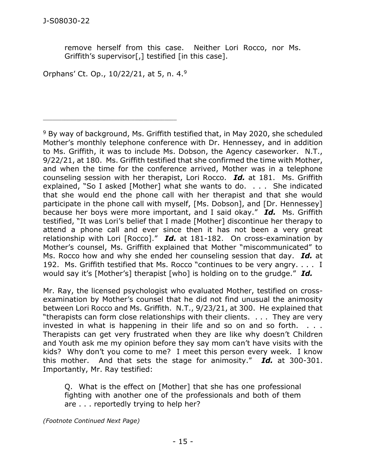remove herself from this case. Neither Lori Rocco, nor Ms. Griffith's supervisor[,] testified [in this case].

Orphans' Ct. Op., 10/22/21, at 5, n. 4.<sup>9</sup>

\_\_\_\_\_\_\_\_\_\_\_\_\_\_\_\_\_\_\_\_\_\_\_\_\_\_\_\_\_\_\_\_\_\_\_\_\_\_\_\_\_\_\_\_

<sup>9</sup> By way of background, Ms. Griffith testified that, in May 2020, she scheduled Mother's monthly telephone conference with Dr. Hennessey, and in addition to Ms. Griffith, it was to include Ms. Dobson, the Agency caseworker. N.T., 9/22/21, at 180. Ms. Griffith testified that she confirmed the time with Mother, and when the time for the conference arrived, Mother was in a telephone counseling session with her therapist, Lori Rocco. *Id.* at 181. Ms. Griffith explained, "So I asked [Mother] what she wants to do. . . . She indicated that she would end the phone call with her therapist and that she would participate in the phone call with myself, [Ms. Dobson], and [Dr. Hennessey] because her boys were more important, and I said okay." *Id.* Ms. Griffith testified, "It was Lori's belief that I made [Mother] discontinue her therapy to attend a phone call and ever since then it has not been a very great relationship with Lori [Rocco]." *Id.* at 181-182. On cross-examination by Mother's counsel, Ms. Griffith explained that Mother "miscommunicated" to Ms. Rocco how and why she ended her counseling session that day. *Id.* at 192. Ms. Griffith testified that Ms. Rocco "continues to be very angry. . . . I would say it's [Mother's] therapist [who] is holding on to the grudge." *Id.*

Mr. Ray, the licensed psychologist who evaluated Mother, testified on crossexamination by Mother's counsel that he did not find unusual the animosity between Lori Rocco and Ms. Griffith. N.T., 9/23/21, at 300. He explained that "therapists can form close relationships with their clients. . . . They are very invested in what is happening in their life and so on and so forth. . . . Therapists can get very frustrated when they are like why doesn't Children and Youth ask me my opinion before they say mom can't have visits with the kids? Why don't you come to me? I meet this person every week. I know this mother. And that sets the stage for animosity." *Id.* at 300-301. Importantly, Mr. Ray testified:

Q. What is the effect on [Mother] that she has one professional fighting with another one of the professionals and both of them are . . . reportedly trying to help her?

*(Footnote Continued Next Page)*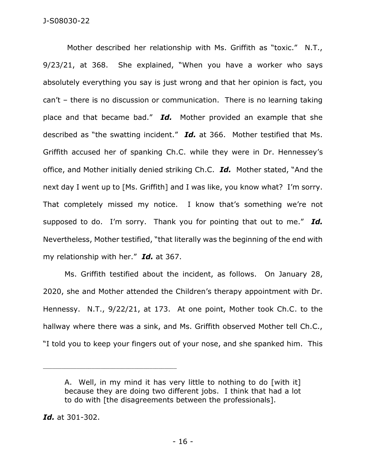Mother described her relationship with Ms. Griffith as "toxic." N.T., 9/23/21, at 368. She explained, "When you have a worker who says absolutely everything you say is just wrong and that her opinion is fact, you can't – there is no discussion or communication. There is no learning taking place and that became bad." *Id.* Mother provided an example that she described as "the swatting incident." *Id.* at 366. Mother testified that Ms. Griffith accused her of spanking Ch.C. while they were in Dr. Hennessey's office, and Mother initially denied striking Ch.C. *Id.* Mother stated, "And the next day I went up to [Ms. Griffith] and I was like, you know what? I'm sorry. That completely missed my notice. I know that's something we're not supposed to do. I'm sorry. Thank you for pointing that out to me." *Id.* Nevertheless, Mother testified, "that literally was the beginning of the end with my relationship with her." *Id.* at 367.

Ms. Griffith testified about the incident, as follows. On January 28, 2020, she and Mother attended the Children's therapy appointment with Dr. Hennessy. N.T., 9/22/21, at 173. At one point, Mother took Ch.C. to the hallway where there was a sink, and Ms. Griffith observed Mother tell Ch.C., "I told you to keep your fingers out of your nose, and she spanked him. This

*Id.* at 301-302.

A. Well, in my mind it has very little to nothing to do [with it] because they are doing two different jobs. I think that had a lot to do with [the disagreements between the professionals].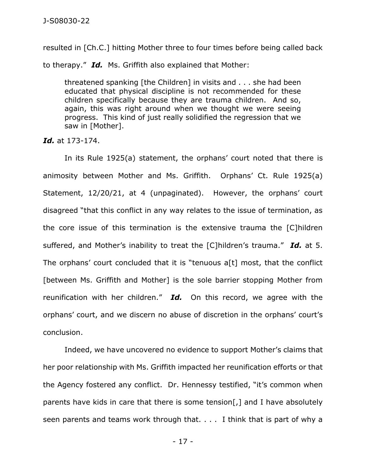resulted in [Ch.C.] hitting Mother three to four times before being called back

to therapy." *Id.* Ms. Griffith also explained that Mother:

threatened spanking [the Children] in visits and . . . she had been educated that physical discipline is not recommended for these children specifically because they are trauma children. And so, again, this was right around when we thought we were seeing progress. This kind of just really solidified the regression that we saw in [Mother].

*Id.* at 173-174.

In its Rule 1925(a) statement, the orphans' court noted that there is animosity between Mother and Ms. Griffith. Orphans' Ct. Rule 1925(a) Statement, 12/20/21, at 4 (unpaginated). However, the orphans' court disagreed "that this conflict in any way relates to the issue of termination, as the core issue of this termination is the extensive trauma the [C]hildren suffered, and Mother's inability to treat the [C]hildren's trauma." *Id.* at 5. The orphans' court concluded that it is "tenuous a[t] most, that the conflict [between Ms. Griffith and Mother] is the sole barrier stopping Mother from reunification with her children." *Id.* On this record, we agree with the orphans' court, and we discern no abuse of discretion in the orphans' court's conclusion.

Indeed, we have uncovered no evidence to support Mother's claims that her poor relationship with Ms. Griffith impacted her reunification efforts or that the Agency fostered any conflict. Dr. Hennessy testified, "it's common when parents have kids in care that there is some tension[,] and I have absolutely seen parents and teams work through that. . . . I think that is part of why a

- 17 -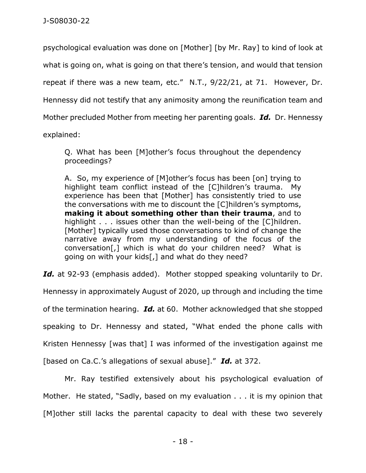psychological evaluation was done on [Mother] [by Mr. Ray] to kind of look at what is going on, what is going on that there's tension, and would that tension repeat if there was a new team, etc." N.T., 9/22/21, at 71. However, Dr. Hennessy did not testify that any animosity among the reunification team and Mother precluded Mother from meeting her parenting goals. *Id.* Dr. Hennessy explained:

Q. What has been [M]other's focus throughout the dependency proceedings?

A. So, my experience of [M]other's focus has been [on] trying to highlight team conflict instead of the [C]hildren's trauma. My experience has been that [Mother] has consistently tried to use the conversations with me to discount the [C]hildren's symptoms, **making it about something other than their trauma**, and to highlight . . . issues other than the well-being of the [C]hildren. [Mother] typically used those conversations to kind of change the narrative away from my understanding of the focus of the conversation[,] which is what do your children need? What is going on with your kids[,] and what do they need?

*Id.* at 92-93 (emphasis added). Mother stopped speaking voluntarily to Dr.

Hennessy in approximately August of 2020, up through and including the time

of the termination hearing. *Id.* at 60. Mother acknowledged that she stopped

speaking to Dr. Hennessy and stated, "What ended the phone calls with

Kristen Hennessy [was that] I was informed of the investigation against me

[based on Ca.C.'s allegations of sexual abuse]." *Id.* at 372.

Mr. Ray testified extensively about his psychological evaluation of Mother. He stated, "Sadly, based on my evaluation . . . it is my opinion that [M]other still lacks the parental capacity to deal with these two severely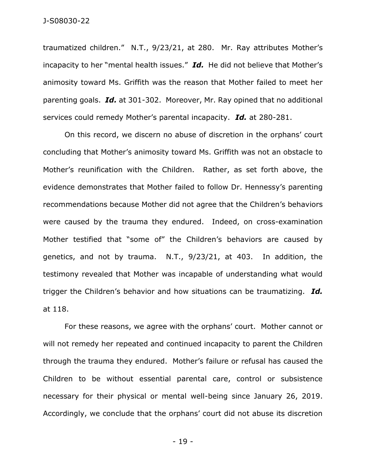traumatized children." N.T., 9/23/21, at 280. Mr. Ray attributes Mother's incapacity to her "mental health issues." *Id.* He did not believe that Mother's animosity toward Ms. Griffith was the reason that Mother failed to meet her parenting goals. *Id.* at 301-302. Moreover, Mr. Ray opined that no additional services could remedy Mother's parental incapacity. *Id.* at 280-281.

On this record, we discern no abuse of discretion in the orphans' court concluding that Mother's animosity toward Ms. Griffith was not an obstacle to Mother's reunification with the Children. Rather, as set forth above, the evidence demonstrates that Mother failed to follow Dr. Hennessy's parenting recommendations because Mother did not agree that the Children's behaviors were caused by the trauma they endured. Indeed, on cross-examination Mother testified that "some of" the Children's behaviors are caused by genetics, and not by trauma. N.T., 9/23/21, at 403. In addition, the testimony revealed that Mother was incapable of understanding what would trigger the Children's behavior and how situations can be traumatizing. *Id.* at 118.

For these reasons, we agree with the orphans' court. Mother cannot or will not remedy her repeated and continued incapacity to parent the Children through the trauma they endured. Mother's failure or refusal has caused the Children to be without essential parental care, control or subsistence necessary for their physical or mental well-being since January 26, 2019. Accordingly, we conclude that the orphans' court did not abuse its discretion

- 19 -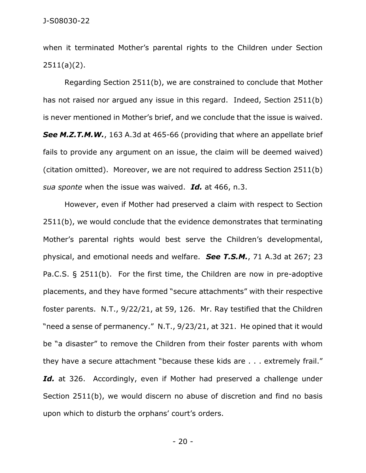when it terminated Mother's parental rights to the Children under Section 2511(a)(2).

Regarding Section 2511(b), we are constrained to conclude that Mother has not raised nor argued any issue in this regard. Indeed, Section 2511(b) is never mentioned in Mother's brief, and we conclude that the issue is waived. *See M.Z.T.M.W.*, 163 A.3d at 465-66 (providing that where an appellate brief fails to provide any argument on an issue, the claim will be deemed waived) (citation omitted). Moreover, we are not required to address Section 2511(b) *sua sponte* when the issue was waived. *Id.* at 466, n.3.

However, even if Mother had preserved a claim with respect to Section 2511(b), we would conclude that the evidence demonstrates that terminating Mother's parental rights would best serve the Children's developmental, physical, and emotional needs and welfare. *See T.S.M.*, 71 A.3d at 267; 23 Pa.C.S. § 2511(b). For the first time, the Children are now in pre-adoptive placements, and they have formed "secure attachments" with their respective foster parents. N.T., 9/22/21, at 59, 126. Mr. Ray testified that the Children "need a sense of permanency." N.T., 9/23/21, at 321. He opined that it would be "a disaster" to remove the Children from their foster parents with whom they have a secure attachment "because these kids are . . . extremely frail." Id. at 326. Accordingly, even if Mother had preserved a challenge under Section 2511(b), we would discern no abuse of discretion and find no basis upon which to disturb the orphans' court's orders.